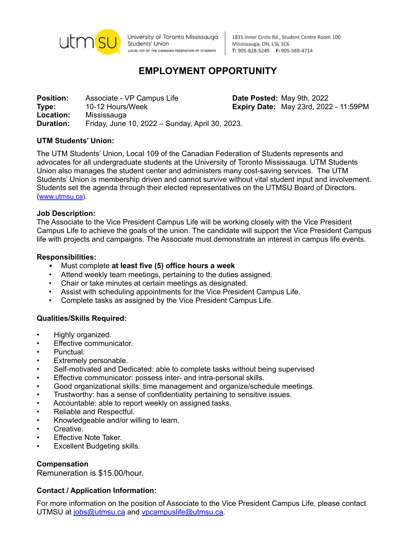

University of Toronto Mississauga Students' Union LOCAL IO9 OF THE CANADIAN FEDERATION OF STUDENTS

1815 Inner Circle Rd., Student Centre Room 100 Mississauga, ON, L5L 1C6 T: 905-828-5249 F: 905-569-4714

# **EMPLOYMENT OPPORTUNITY**

**Position:** Associate - VP Campus Life **Date Posted:** May 9th, 2022 **Type:** 10-12 Hours/Week **Expiry Date:** May 23rd, 2022 - 11:59PM **Location:** Mississauga **Duration:** Friday, June 10, 2022 – Sunday, April 30, 2023.

## **UTM Students' Union:**

The UTM Students' Union, Local 109 of the Canadian Federation of Students represents and advocates for all undergraduate students at the University of Toronto Mississauga. UTM Students Union also manages the student center and administers many cost-saving services. The UTM Students' Union is membership driven and cannot survive without vital student input and involvement. Students set the agenda through their elected representatives on the UTMSU Board of Directors. ([www.utmsu.ca](http://www.utmsu.ca)).

#### **Job Description:**

The Associate to the Vice President Campus Life will be working closely with the Vice President Campus Life to achieve the goals of the union. The candidate will support the Vice President Campus life with projects and campaigns. The Associate must demonstrate an interest in campus life events.

#### **Responsibilities:**

- Must complete **at least five (5) office hours a week**
- Attend weekly team meetings, pertaining to the duties assigned.
- Chair or take minutes at certain meetings as designated.
- Assist with scheduling appointments for the Vice President Campus Life.
- Complete tasks as assigned by the Vice President Campus Life.

## **Qualities/Skills Required:**

- Highly organized.
- **Effective communicator.**
- Punctual.
- Extremely personable.
- Self-motivated and Dedicated: able to complete tasks without being supervised
- Effective communicator: possess inter- and intra-personal skills.
- Good organizational skills: time management and organize/schedule meetings.
- Trustworthy: has a sense of confidentiality pertaining to sensitive issues.
- Accountable: able to report weekly on assigned tasks.
- Reliable and Respectful.
- Knowledgeable and/or willing to learn.
- Creative.
- **Effective Note Taker.**
- **Excellent Budgeting skills.**

## **Compensation**

Remuneration is \$15.00/hour.

## **Contact / Application Information:**

For more information on the position of Associate to the Vice President Campus Life, please contact UTMSU at [jobs@utmsu.ca](mailto:jobs@utmsu.ca) and [vpcampuslife@utmsu.ca.](mailto:vpcampuslife@utmsu.ca)